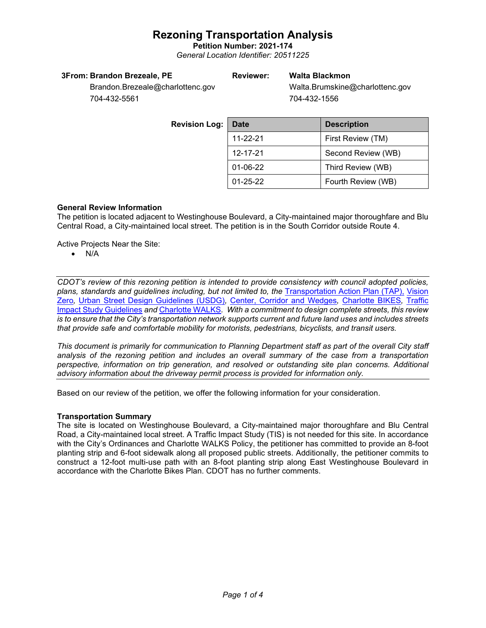**Petition Number: 2021-174** *General Location Identifier: 20511225*

#### **3From: Brandon Brezeale, PE**

#### **Reviewer: Walta Blackmon**

Walta.Brumskine@charlottenc.gov 704-432-1556

Brandon.Brezeale@charlottenc.gov 704-432-5561

| <b>Revision Log:</b> | <b>Date</b>                   | <b>Description</b> |  |
|----------------------|-------------------------------|--------------------|--|
|                      | 11-22-21                      | First Review (TM)  |  |
|                      | 12-17-21                      | Second Review (WB) |  |
|                      | 01-06-22<br>Third Review (WB) |                    |  |
|                      | $01 - 25 - 22$                | Fourth Review (WB) |  |

#### **General Review Information**

The petition is located adjacent to Westinghouse Boulevard, a City-maintained major thoroughfare and Blu Central Road, a City-maintained local street. The petition is in the South Corridor outside Route 4.

Active Projects Near the Site:

• N/A

*CDOT's review of this rezoning petition is intended to provide consistency with council adopted policies, plans, standards and guidelines including, but not limited to, the* [Transportation Action Plan \(TAP\),](https://charlottenc.gov/Transportation/Programs/Pages/TransportationActionPlan.aspx) [Vision](https://charlottenc.gov/VisionZero/Pages/VisionZero.aspx)  [Zero](https://charlottenc.gov/VisionZero/Pages/VisionZero.aspx)*,* [Urban Street Design Guidelines \(USDG\)](https://charlottenc.gov/Transportation/PlansProjects/Documents/USDG%20Full%20Document.pdf)*,* [Center, Corridor and Wedges](http://ww.charmeck.org/Planning/Land%20Use%20Planning/CentersCorridorsWedges/CentersCorridorsWedges(Adopted).pdf)*,* [Charlotte BIKES](https://charlottenc.gov/Transportation/Programs/Pages/Bicycle.aspx)*,* [Traffic](https://charlottenc.gov/Transportation/Permits/Documents/TISProcessandGuildlines.pdf)  [Impact Study Guidelines](https://charlottenc.gov/Transportation/Permits/Documents/TISProcessandGuildlines.pdf) *and* [Charlotte WALKS](https://charlottenc.gov/Transportation/Programs/Pages/CharlotteWalks.aspx)*. With a commitment to design complete streets, this review is to ensure that the City's transportation network supports current and future land uses and includes streets that provide safe and comfortable mobility for motorists, pedestrians, bicyclists, and transit users.*

*This document is primarily for communication to Planning Department staff as part of the overall City staff analysis of the rezoning petition and includes an overall summary of the case from a transportation perspective, information on trip generation, and resolved or outstanding site plan concerns. Additional advisory information about the driveway permit process is provided for information only.*

Based on our review of the petition, we offer the following information for your consideration.

#### **Transportation Summary**

The site is located on Westinghouse Boulevard, a City-maintained major thoroughfare and Blu Central Road, a City-maintained local street. A Traffic Impact Study (TIS) is not needed for this site. In accordance with the City's Ordinances and Charlotte WALKS Policy, the petitioner has committed to provide an 8-foot planting strip and 6-foot sidewalk along all proposed public streets. Additionally, the petitioner commits to construct a 12-foot multi-use path with an 8-foot planting strip along East Westinghouse Boulevard in accordance with the Charlotte Bikes Plan. CDOT has no further comments.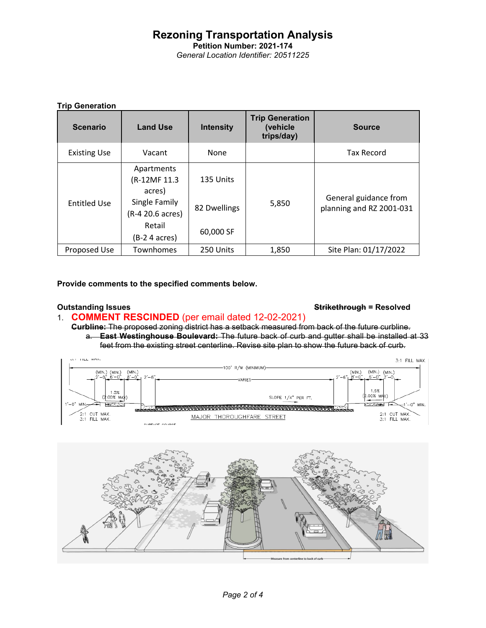**Petition Number: 2021-174** *General Location Identifier: 20511225*

#### **Trip Generation**

| <b>Scenario</b>     | <b>Land Use</b>                       | <b>Intensity</b> | <b>Trip Generation</b><br>(vehicle<br>trips/day) | <b>Source</b>                                     |
|---------------------|---------------------------------------|------------------|--------------------------------------------------|---------------------------------------------------|
| <b>Existing Use</b> | Vacant                                | None             |                                                  | <b>Tax Record</b>                                 |
| <b>Entitled Use</b> | Apartments<br>(R-12MF 11.3)<br>acres) | 135 Units        | 5,850                                            | General guidance from<br>planning and RZ 2001-031 |
|                     | Single Family<br>(R-4 20.6 acres)     | 82 Dwellings     |                                                  |                                                   |
|                     | Retail<br>(B-2 4 acres)               | 60,000 SF        |                                                  |                                                   |
| Proposed Use        | Townhomes                             | 250 Units        | 1,850                                            | Site Plan: 01/17/2022                             |

**Provide comments to the specified comments below.** 

#### **Outstanding Issues Strikethrough = Resolved**

### 1. **COMMENT RESCINDED** (per email dated 12-02-2021)

**Curbline:** The proposed zoning district has a setback measured from back of the future curbline. a. **East Westinghouse Boulevard:** The future back of curb and gutter shall be installed at 33 feet from the existing street centerline. Revise site plan to show the future back of curb.



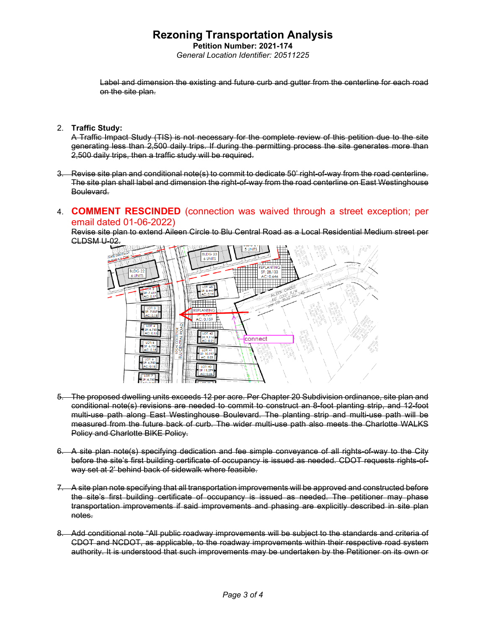**Petition Number: 2021-174** *General Location Identifier: 20511225*

Label and dimension the existing and future curb and gutter from the centerline for each road on the site plan.

#### 2. **Traffic Study:**

A Traffic Impact Study (TIS) is not necessary for the complete review of this petition due to the site generating less than 2,500 daily trips. If during the permitting process the site generates more than 2,500 daily trips, then a traffic study will be required.

3. Revise site plan and conditional note(s) to commit to dedicate 50' right-of-way from the road centerline. The site plan shall label and dimension the right-of-way from the road centerline on East Westinghouse Boulevard.

#### 4. **COMMENT RESCINDED** (connection was waived through a street exception; per email dated 01-06-2022)

Revise site plan to extend Aileen Circle to Blu Central Road as a Local Residential Medium street per CLDSM U-02.



- 5. The proposed dwelling units exceeds 12 per acre. Per Chapter 20 Subdivision ordinance, site plan and conditional note(s) revisions are needed to commit to construct an 8-foot planting strip, and 12-foot multi-use path along East Westinghouse Boulevard. The planting strip and multi-use path will be measured from the future back of curb. The wider multi-use path also meets the Charlotte WALKS Policy and Charlotte BIKE Policy.
- 6. A site plan note(s) specifying dedication and fee simple conveyance of all rights-of-way to the City before the site's first building certificate of occupancy is issued as needed. CDOT requests rights-ofway set at 2' behind back of sidewalk where feasible.
- 7. A site plan note specifying that all transportation improvements will be approved and constructed before the site's first building certificate of occupancy is issued as needed. The petitioner may phase transportation improvements if said improvements and phasing are explicitly described in site plan notes.
- 8. Add conditional note "All public roadway improvements will be subject to the standards and criteria of CDOT and NCDOT, as applicable, to the roadway improvements within their respective road system authority. It is understood that such improvements may be undertaken by the Petitioner on its own or